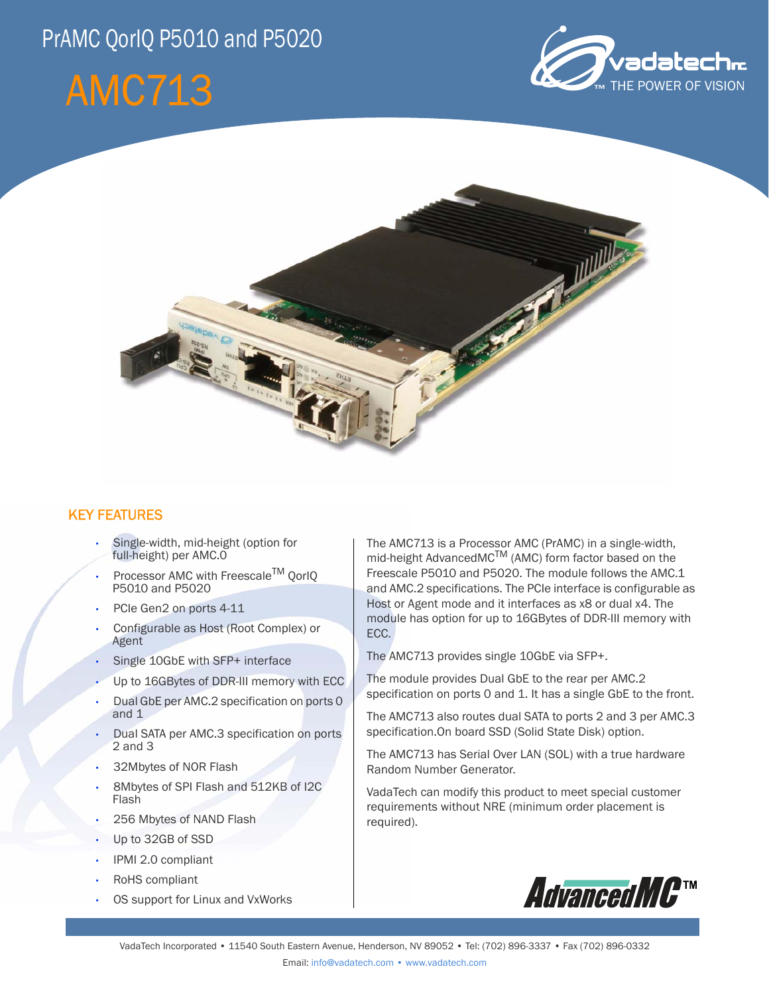## PrAMC QorIQ P5010 and P5020

# AMC713





## KEY FEATURES

- Single-width, mid-height (option for full-height) per AMC.0
- Processor AMC with Freescale<sup>TM</sup> OorlO P5010 and P5020
- PCIe Gen2 on ports 4-11
- Configurable as Host (Root Complex) or Agent
- Single 10GbE with SFP+ interface
- Up to 16GBytes of DDR-III memory with ECC
- Dual GbE per AMC.2 specification on ports 0 and 1
- Dual SATA per AMC.3 specification on ports 2 and 3
- 32Mbytes of NOR Flash
- 8Mbytes of SPI Flash and 512KB of I2C Flash
- 256 Mbytes of NAND Flash
- Up to 32GB of SSD
- IPMI 2.0 compliant
- RoHS compliant
- OS support for Linux and VxWorks

The AMC713 is a Processor AMC (PrAMC) in a single-width, mid-height AdvancedMC<sup>TM</sup> (AMC) form factor based on the Freescale P5010 and P5020. The module follows the AMC.1 and AMC.2 specifications. The PCIe interface is configurable as Host or Agent mode and it interfaces as x8 or dual x4. The module has option for up to 16GBytes of DDR-III memory with ECC.

The AMC713 provides single 10GbE via SFP+.

The module provides Dual GbE to the rear per AMC.2 specification on ports 0 and 1. It has a single GbE to the front.

The AMC713 also routes dual SATA to ports 2 and 3 per AMC.3 specification.On board SSD (Solid State Disk) option.

The AMC713 has Serial Over LAN (SOL) with a true hardware Random Number Generator.

VadaTech can modify this product to meet special customer requirements without NRE (minimum order placement is required).

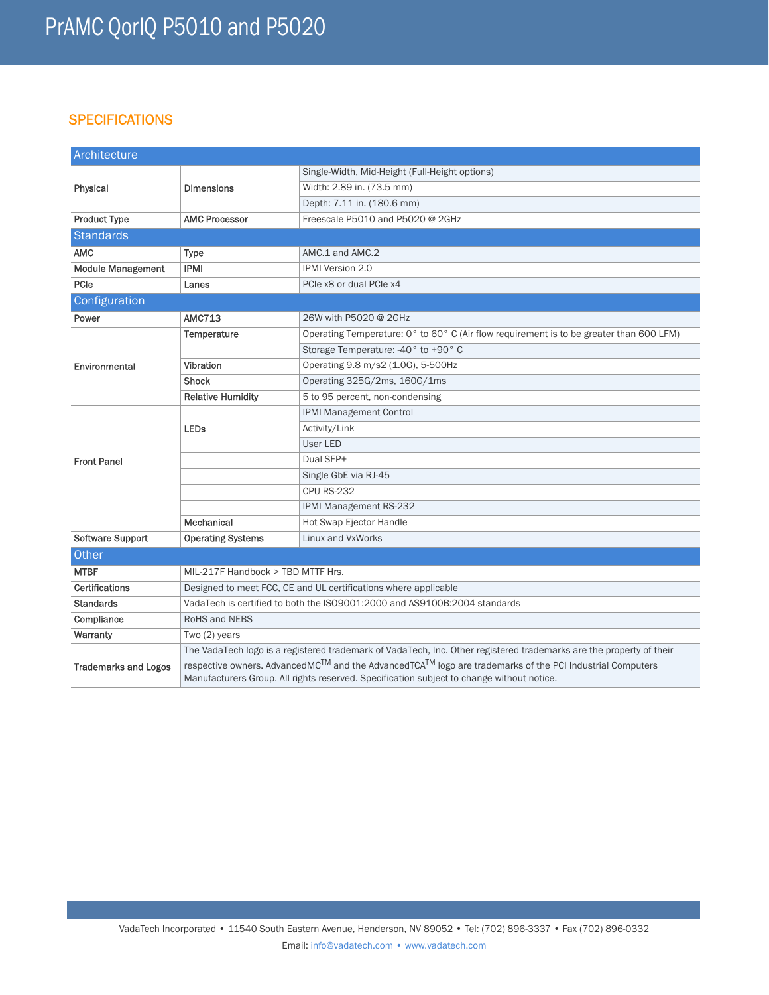## **SPECIFICATIONS**

| Architecture                |                                                                                                                                                                                                      |                                                                                         |
|-----------------------------|------------------------------------------------------------------------------------------------------------------------------------------------------------------------------------------------------|-----------------------------------------------------------------------------------------|
| Physical                    | <b>Dimensions</b>                                                                                                                                                                                    | Single-Width, Mid-Height (Full-Height options)                                          |
|                             |                                                                                                                                                                                                      | Width: 2.89 in. (73.5 mm)                                                               |
|                             |                                                                                                                                                                                                      | Depth: 7.11 in. (180.6 mm)                                                              |
| <b>Product Type</b>         | <b>AMC Processor</b>                                                                                                                                                                                 | Freescale P5010 and P5020 @ 2GHz                                                        |
| <b>Standards</b>            |                                                                                                                                                                                                      |                                                                                         |
| <b>AMC</b>                  | <b>Type</b>                                                                                                                                                                                          | AMC.1 and AMC.2                                                                         |
| <b>Module Management</b>    | <b>IPMI</b>                                                                                                                                                                                          | IPMI Version 2.0                                                                        |
| PCIe                        | Lanes                                                                                                                                                                                                | PCIe x8 or dual PCIe x4                                                                 |
| Configuration               |                                                                                                                                                                                                      |                                                                                         |
| Power                       | <b>AMC713</b>                                                                                                                                                                                        | 26W with P5020 @ 2GHz                                                                   |
| Environmental               | Temperature                                                                                                                                                                                          | Operating Temperature: 0° to 60° C (Air flow requirement is to be greater than 600 LFM) |
|                             |                                                                                                                                                                                                      | Storage Temperature: -40° to +90° C                                                     |
|                             | Vibration                                                                                                                                                                                            | Operating 9.8 m/s2 (1.0G), 5-500Hz                                                      |
|                             | <b>Shock</b>                                                                                                                                                                                         | Operating 325G/2ms, 160G/1ms                                                            |
|                             | <b>Relative Humidity</b>                                                                                                                                                                             | 5 to 95 percent, non-condensing                                                         |
| <b>Front Panel</b>          | <b>LEDs</b>                                                                                                                                                                                          | <b>IPMI Management Control</b>                                                          |
|                             |                                                                                                                                                                                                      | Activity/Link                                                                           |
|                             |                                                                                                                                                                                                      | User LED                                                                                |
|                             |                                                                                                                                                                                                      | Dual SFP+                                                                               |
|                             |                                                                                                                                                                                                      | Single GbE via RJ-45                                                                    |
|                             |                                                                                                                                                                                                      | <b>CPU RS-232</b>                                                                       |
|                             |                                                                                                                                                                                                      | IPMI Management RS-232                                                                  |
|                             | Mechanical                                                                                                                                                                                           | Hot Swap Ejector Handle                                                                 |
| <b>Software Support</b>     | <b>Operating Systems</b>                                                                                                                                                                             | Linux and VxWorks                                                                       |
| Other                       |                                                                                                                                                                                                      |                                                                                         |
| <b>MTBF</b>                 | MIL-217F Handbook > TBD MTTF Hrs.                                                                                                                                                                    |                                                                                         |
| <b>Certifications</b>       | Designed to meet FCC, CE and UL certifications where applicable                                                                                                                                      |                                                                                         |
| <b>Standards</b>            | VadaTech is certified to both the ISO9001:2000 and AS9100B:2004 standards                                                                                                                            |                                                                                         |
| Compliance                  | <b>RoHS and NEBS</b>                                                                                                                                                                                 |                                                                                         |
| Warranty                    | Two (2) years                                                                                                                                                                                        |                                                                                         |
| <b>Trademarks and Logos</b> | The VadaTech logo is a registered trademark of VadaTech, Inc. Other registered trademarks are the property of their                                                                                  |                                                                                         |
|                             | respective owners. AdvancedMC™ and the AdvancedTCA™ logo are trademarks of the PCI Industrial Computers<br>Manufacturers Group. All rights reserved. Specification subject to change without notice. |                                                                                         |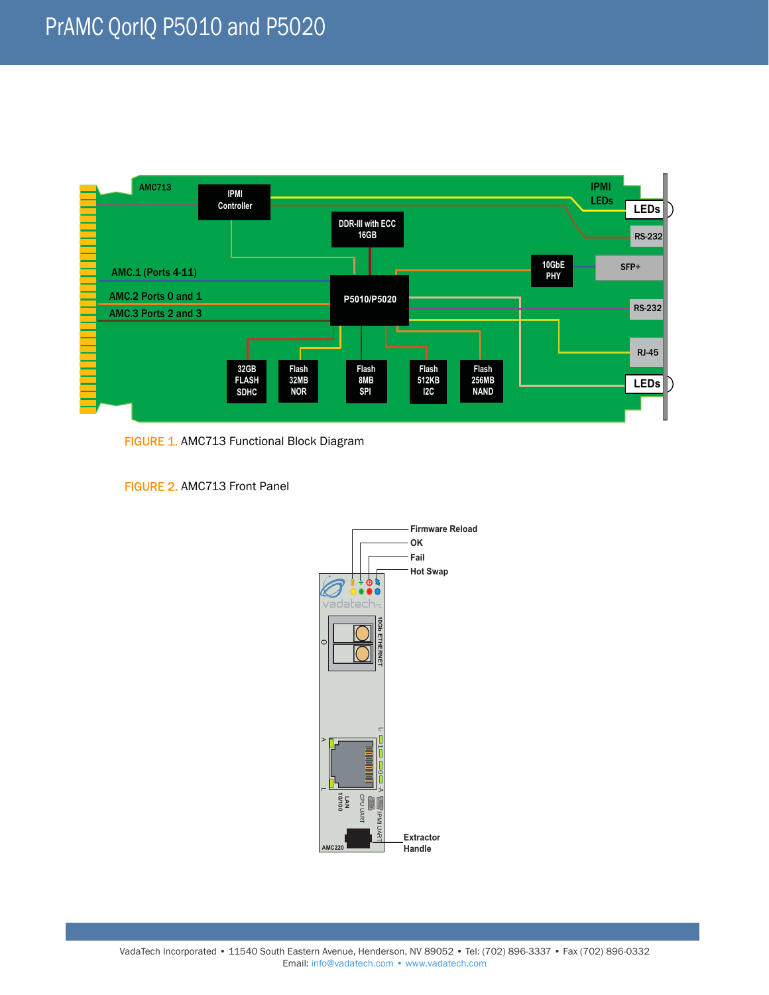

FIGURE 1. AMC713 Functional Block Diagram

FIGURE 2. AMC713 Front Panel